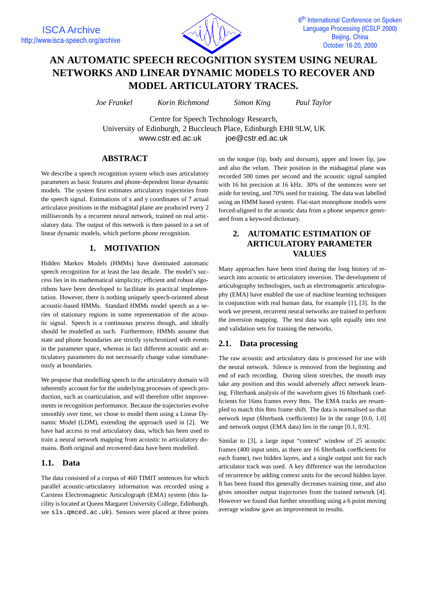

# **AN AUTOMATIC SPEECH RECOGNITION SYSTEM USING NEURAL NETWORKS AND LINEAR DYNAMIC MODELS TO RECOVER AND MODEL ARTICULATORY TRACES.**

*Joe Frankel Korin Richmond Simon King Paul Taylor*

Centre for Speech Technology Research, University of Edinburgh, 2 Buccleuch Place, Edinburgh EH8 9LW, UK www.cstr.ed.ac.uk joe@cstr.ed.ac.uk

# **ABSTRACT**

We describe a speech recognition system which uses articulatory parameters as basic features and phone-dependent linear dynamic models. The system first estimates articulatory trajectories from the speech signal. Estimations of x and y coordinates of 7 actual articulator positions in the midsagittal plane are produced every 2 milliseconds by a recurrent neural network, trained on real articulatory data. The output of this network is then passed to a set of linear dynamic models, which perform phone recognition.

# **1. MOTIVATION**

Hidden Markov Models (HMMs) have dominated automatic speech recognition for at least the last decade. The model's success lies in its mathematical simplicity; efficient and robust algorithms have been developed to facilitate its practical implementation. However, there is nothing uniquely speech-oriented about acoustic-based HMMs. Standard HMMs model speech as a series of stationary regions in some representation of the acoustic signal. Speech is a continuous process though, and ideally should be modelled as such. Furthermore, HMMs assume that state and phone boundaries are strictly synchronized with events in the parameter space, whereas in fact different acoustic and articulatory parameters do not necessarily change value simultaneously at boundaries.

We propose that modelling speech in the articulatory domain will inherently account for for the underlying processes of speech production, such as coarticulation, and will therefore offer improvements in recognition performance. Because the trajectories evolve smoothly over time, we chose to model them using a Linear Dynamic Model (LDM), extending the approach used in [2]. We have had access to real articulatory data, which has been used to train a neural network mapping from acoustic to articulatory domains. Both original and recovered data have been modelled.

# **1.1. Data**

The data consisted of a corpus of 460 TIMIT sentences for which parallel acoustic-articulatory information was recorded using a Carstens Electromagnetic Articulograph (EMA) system (this facility is located at Queen Margaret University College, Edinburgh, see sls.qmced.ac.uk). Sensors were placed at three points on the tongue (tip, body and dorsum), upper and lower lip, jaw and also the velum. Their position in the midsagittal plane was recorded 500 times per second and the acoustic signal sampled with 16 bit precision at 16 kHz. 30% of the sentences were set aside for testing, and 70% used for training. The data was labelled using an HMM based system. Flat-start monophone models were forced-aligned to the acoustic data from a phone sequence generated from a keyword dictionary.

# **2. AUTOMATIC ESTIMATION OF ARTICULATORY PARAMETER VALUES**

Many approaches have been tried during the long history of research into acoustic to articulatory inversion. The development of articulography technologies, such as electromagnetic articulography (EMA) have enabled the use of machine learning techniques in conjunction with real human data, for example [1], [3]. In the work we present, recurrent neural networks are trained to perform the inversion mapping. The test data was split equally into test and validation sets for training the networks.

# **2.1. Data processing**

The raw acoustic and articulatory data is processed for use with the neural network. Silence is removed from the beginning and end of each recording. During silent stretches, the mouth may take any position and this would adversely affect network learning. Filterbank analysis of the waveform gives 16 filterbank coefficients for 16ms frames every 8ms. The EMA tracks are resampled to match this 8ms frame shift. The data is normalised so that network input (filterbank coefficients) lie in the range [0.0, 1.0] and network output (EMA data) lies in the range [0.1, 0.9].

Similar to [3], a large input "context" window of 25 acoustic frames (400 input units, as there are 16 filterbank coefficients for each frame), two hidden layers, and a single output unit for each articulator track was used. A key difference was the introduction of recurrence by adding context units for the second hidden layer. It has been found this generally decreases training time, and also gives smoother output trajectories from the trained network [4]. However we found that further smoothing using a 6 point moving average window gave an improvement in results.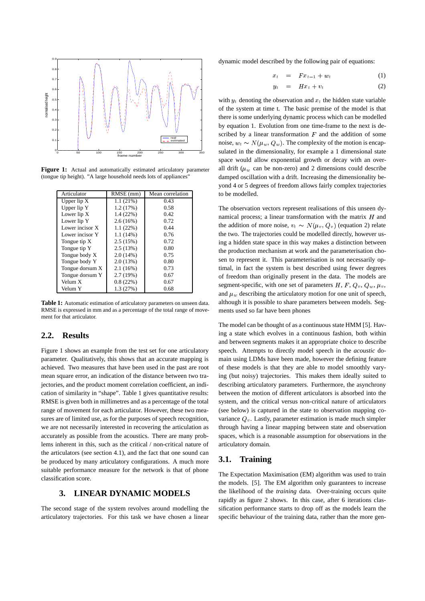

Figure 1: Actual and automatically estimated articulatory parameter (tongue tip height). "A large household needs lots of appliances"

| Articulator     | RMSE (mm) | Mean correlation |
|-----------------|-----------|------------------|
| Upper $lip X$   | 1.1(21%)  | 0.43             |
| Upper lip Y     | 1.2(17%)  | 0.58             |
| Lower lip X     | 1.4(22%)  | 0.42             |
| Lower lip Y     | 2.6(16%)  | 0.72             |
| Lower incisor X | 1.1(22%)  | 0.44             |
| Lower incisor Y | 1.1(14%)  | 0.76             |
| Tongue tip X    | 2.5(15%)  | 0.72             |
| Tongue tip Y    | 2.5(13%)  | 0.80             |
| Tongue body X   | 2.0(14%)  | 0.75             |
| Tongue body Y   | 2.0(13%)  | 0.80             |
| Tongue dorsum X | 2.1(16%)  | 0.73             |
| Tongue dorsum Y | 2.7(19%)  | 0.67             |
| Velum X         | 0.8(22%)  | 0.67             |
| Velum Y         | 1.3 (27%) | 0.68             |

Table 1: Automatic estimation of articulatory parameters on unseen data. RMSE is expressed in mm and as a percentage of the total range of movement for that articulator.

#### **2.2. Results**

Figure 1 shows an example from the test set for one articulatory parameter. Qualitatively, this shows that an accurate mapping is achieved. Two measures that have been used in the past are root mean square error, an indication of the distance between two trajectories, and the product moment correlation coefficient, an indication of similarity in "shape". Table 1 gives quantitative results: RMSE is given both in millimetres and as a percentage of the total range of movement for each articulator. However, these two measures are of limited use, as for the purposes of speech recognition, we are not necessarily interested in recovering the articulation as accurately as possible from the acoustics. There are many problems inherent in this, such as the critical / non-critical nature of the articulators (see section 4.1), and the fact that one sound can be produced by many articulatory configurations. A much more suitable performance measure for the network is that of phone classification score.

#### **3. LINEAR DYNAMIC MODELS**

The second stage of the system revolves around modelling the articulatory trajectories. For this task we have chosen a linear

dynamic model described by the following pair of equations:

$$
x_t = F x_{t-1} + w_t \tag{1}
$$

$$
y_t = H x_t + v_t \tag{2}
$$

with  $y_t$  denoting the observation and  $x_t$  the hidden state variable of the system at time t. The basic premise of the model is that there is some underlying dynamic process which can be modelled by equation 1. Evolution from one time-frame to the next is described by a linear transformation  $F$  and the addition of some noise,  $w_t \sim N(\mu_w, Q_w)$ . The complexity of the motion is encapsulated in the dimensionality, for example a 1 dimensional state space would allow exponential growth or decay with an overall drift ( $\mu_w$  can be non-zero) and 2 dimensions could describe damped oscillation with a drift. Increasing the dimensionality beyond 4 or 5 degrees of freedom allows fairly complex trajectories to be modelled.

The observation vectors represent realisations of this unseen dynamical process; a linear transformation with the matrix  $H$  and the addition of more noise,  $v_t \sim N(\mu_v, Q_v)$  (equation 2) relate the two. The trajectories could be modelled directly, however using a hidden state space in this way makes a distinction between the production mechanism at work and the parameterisation chosen to represent it. This parameterisation is not necessarily optimal, in fact the system is best described using fewer degrees of freedom than originally present in the data. The models are segment-specific, with one set of parameters  $H, F, Q_v, Q_w, \mu_v,$ and  $\mu_w$  describing the articulatory motion for one unit of speech, although it is possible to share parameters between models. Segments used so far have been phones

The model can be thought of as a continuous state HMM [5]. Having a state which evolves in a continuous fashion, both within and between segments makes it an appropriate choice to describe speech. Attempts to directly model speech in the *acoustic* domain using LDMs have been made, however the defining feature of these models is that they are able to model smoothly varying (but noisy) trajectories. This makes them ideally suited to describing articulatory parameters. Furthermore, the asynchrony between the motion of different articulators is absorbed into the system, and the critical versus non-critical nature of articulators (see below) is captured in the state to observation mapping covariance  $Q<sub>v</sub>$ . Lastly, parameter estimation is made much simpler through having a linear mapping between state and observation spaces, which is a reasonable assumption for observations in the articulatory domain.

#### **3.1. Training**

The Expectation Maximisation (EM) algorithm was used to train the models. [5]. The EM algorithm only guarantees to increase the likelihood of the *training* data. Over-training occurs quite rapidly as figure 2 shows. In this case, after 6 iterations classification performance starts to drop off as the models learn the specific behaviour of the training data, rather than the more gen-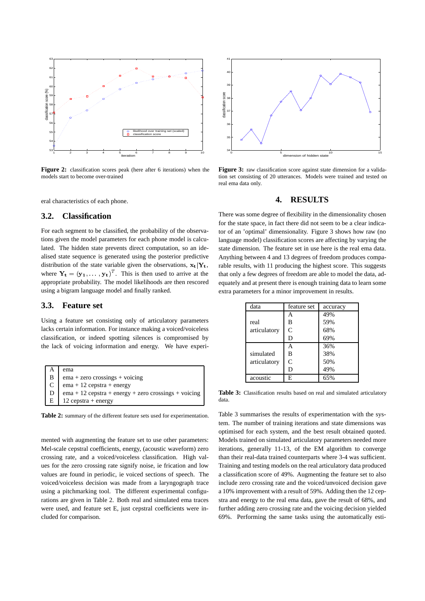

**Figure 2:** classification scores peak (here after 6 iterations) when the models start to become over-trained

eral characteristics of each phone.

#### **3.2. Classification**

For each segment to be classified, the probability of the observations given the model parameters for each phone model is calculated. The hidden state prevents direct computation, so an idealised state sequence is generated using the posterior predictive distribution of the state variable given the observations,  $\mathbf{x}_t | \mathbf{Y}_t$ , where  $Y_t = (y_1, \ldots, y_t)^T$ . This is then used to arrive at the appropriate probability. The model likelihoods are then rescored using a bigram language model and finally ranked.

#### **3.3. Feature set**

Using a feature set consisting only of articulatory parameters lacks certain information. For instance making a voiced/voiceless classification, or indeed spotting silences is compromised by the lack of voicing information and energy. We have experi-

| $\mathsf{A}$   | ema                                                                     |
|----------------|-------------------------------------------------------------------------|
| $\mathbf{B}$   | $ema + zero crossings + voiceing$                                       |
| C              | $ema + 12$ cepstra + energy                                             |
| $\overline{D}$ | $ema + 12 \text{ cepstra} + energy + zero \text{ crossings} + voiceing$ |
| E              | $12$ cepstra + energy                                                   |

**Table 2:** summary of the different feature sets used for experimentation.

mented with augmenting the feature set to use other parameters: Mel-scale cepstral coefficients, energy, (acoustic waveform) zero crossing rate, and a voiced/voiceless classification. High values for the zero crossing rate signify noise, ie frication and low values are found in periodic, ie voiced sections of speech. The voiced/voiceless decision was made from a laryngograph trace using a pitchmarking tool. The different experimental configurations are given in Table 2. Both real and simulated ema traces were used, and feature set E, just cepstral coefficients were included for comparison.



Figure 3: raw classification score against state dimension for a validation set consisting of 20 utterances. Models were trained and tested on real ema data only.

#### **4. RESULTS**

There was some degree of flexibility in the dimensionality chosen for the state space, in fact there did not seem to be a clear indicator of an 'optimal' dimensionality. Figure 3 shows how raw (no language model) classification scores are affecting by varying the state dimension. The feature set in use here is the real ema data. Anything between 4 and 13 degrees of freedom produces comparable results, with 11 producing the highest score. This suggests that only a few degrees of freedom are able to model the data, adequately and at present there is enough training data to learn some extra parameters for a minor improvement in results.

| data                      | feature set | accuracy |
|---------------------------|-------------|----------|
| real<br>articulatory      | Α           | 49%      |
|                           | B           | 59%      |
|                           | C           | 68%      |
|                           | D           | 69%      |
| simulated<br>articulatory | А           | 36%      |
|                           | В           | 38%      |
|                           | C           | 50%      |
|                           | D           | 49%      |
| acoustic                  | E           |          |

Table 3: Classification results based on real and simulated articulatory data.

Table 3 summarises the results of experimentation with the system. The number of training iterations and state dimensions was optimised for each system, and the best result obtained quoted. Models trained on simulated articulatory parameters needed more iterations, generally 11-13, of the EM algorithm to converge than their real-data trained counterparts where 3-4 was sufficient. Training and testing models on the real articulatory data produced a classification score of 49%. Augmenting the feature set to also include zero crossing rate and the voiced/unvoiced decision gave a 10% improvement with a result of 59%. Adding then the 12 cepstra and energy to the real ema data, gave the result of 68%, and further adding zero crossing rate and the voicing decision yielded 69%. Performing the same tasks using the automatically esti-